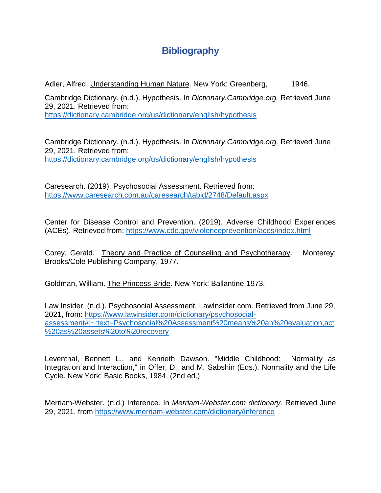## **Bibliography**

Adler, Alfred. Understanding Human Nature. New York: Greenberg, 1946.

Cambridge Dictionary. (n.d.). Hypothesis. In *Dictionary.Cambridge.org.* Retrieved June 29, 2021. Retrieved from: <https://dictionary.cambridge.org/us/dictionary/english/hypothesis>

Cambridge Dictionary. (n.d.). Hypothesis. In *Dictionary*.*Cambridge.org.* Retrieved June 29, 2021. Retrieved from: <https://dictionary.cambridge.org/us/dictionary/english/hypothesis>

Caresearch. (2019). Psychosocial Assessment. Retrieved from: <https://www.caresearch.com.au/caresearch/tabid/2748/Default.aspx>

Center for Disease Control and Prevention. (2019). Adverse Childhood Experiences (ACEs). Retrieved from:<https://www.cdc.gov/violenceprevention/aces/index.html>

Corey, Gerald. Theory and Practice of Counseling and Psychotherapy. Monterey: Brooks/Cole Publishing Company, 1977.

Goldman, William. The Princess Bride. New York: Ballantine,1973.

Law Insider. (n.d.). Psychosocial Assessment. LawInsider.com. Retrieved from June 29, 2021, from: [https://www.lawinsider.com/dictionary/psychosocial](https://www.lawinsider.com/dictionary/psychosocial-assessment#:~:text=Psychosocial%20Assessment%20means%20an%20evaluation,act%20as%20assets%20to%20recovery)[assessment#:~:text=Psychosocial%20Assessment%20means%20an%20evaluation,act](https://www.lawinsider.com/dictionary/psychosocial-assessment#:~:text=Psychosocial%20Assessment%20means%20an%20evaluation,act%20as%20assets%20to%20recovery) [%20as%20assets%20to%20recovery](https://www.lawinsider.com/dictionary/psychosocial-assessment#:~:text=Psychosocial%20Assessment%20means%20an%20evaluation,act%20as%20assets%20to%20recovery)

Leventhal, Bennett L., and Kenneth Dawson. "Middle Childhood: Normality as Integration and Interaction," in Offer, D., and M. Sabshin (Eds.). Normality and the Life Cycle. New York: Basic Books, 1984. (2nd ed.)

Merriam-Webster. (n.d.) Inference. In *Merriam-Webster.com dictionary.* Retrieved June 29, 2021, from [https://www.merriam-webster.com/dictionary/inference](https://www.merriam-webster.com/?dictionary/?inference)